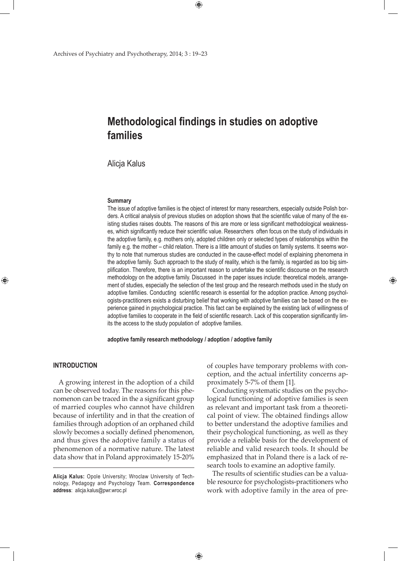# **Methodological findings in studies on adoptive families**

 $\bigoplus$ 

Alicja Kalus

#### **Summary**

The issue of adoptive families is the object of interest for many researchers, especially outside Polish borders. A critical analysis of previous studies on adoption shows that the scientific value of many of the existing studies raises doubts. The reasons of this are more or less significant methodological weaknesses, which significantly reduce their scientific value. Researchers often focus on the study of individuals in the adoptive family, e.g. mothers only, adopted children only or selected types of relationships within the family e.g. the mother – child relation. There is a little amount of studies on family systems. It seems worthy to note that numerous studies are conducted in the cause-effect model of explaining phenomena in the adoptive family. Such approach to the study of reality, which is the family, is regarded as too big simplification. Therefore, there is an important reason to undertake the scientific discourse on the research methodology on the adoptive family. Discussed in the paper issues include: theoretical models, arrangement of studies, especially the selection of the test group and the research methods used in the study on adoptive families. Conducting scientific research is essential for the adoption practice. Among psychologists-practitioners exists a disturbing belief that working with adoptive families can be based on the experience gained in psychological practice. This fact can be explained by the existing lack of willingness of adoptive families to cooperate in the field of scientific research. Lack of this cooperation significantly limits the access to the study population of adoptive families.

**adoptive family research methodology / adoption / adoptive family**

### **Introduction**

⊕

A growing interest in the adoption of a child can be observed today. The reasons for this phenomenon can be traced in the a significant group of married couples who cannot have children because of infertility and in that the creation of families through adoption of an orphaned child slowly becomes a socially defined phenomenon, and thus gives the adoptive family a status of phenomenon of a normative nature. The latest data show that in Poland approximately 15-20%

of couples have temporary problems with conception, and the actual infertility concerns approximately 5-7% of them [1].

⊕

Conducting systematic studies on the psychological functioning of adoptive families is seen as relevant and important task from a theoretical point of view. The obtained findings allow to better understand the adoptive families and their psychological functioning, as well as they provide a reliable basis for the development of reliable and valid research tools. It should be emphasized that in Poland there is a lack of research tools to examine an adoptive family.

The results of scientific studies can be a valuable resource for psychologists-practitioners who work with adoptive family in the area of pre-

 $\bigoplus$ 

**Alicja Kalus:** Opole University; Wroclaw University of Technology, Pedagogy and Psychology Team. **Correspondence address**: alicja.kalus@pwr.wroc.pl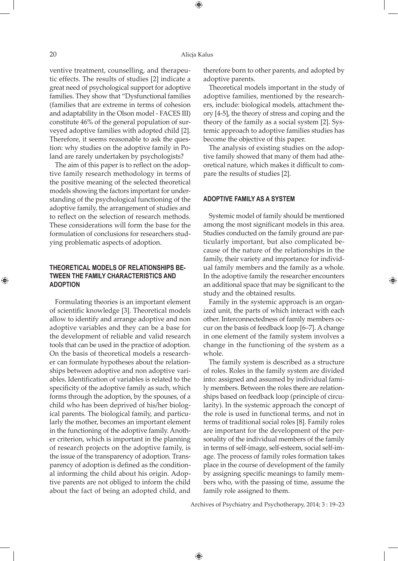#### 20 Alicja Kalus

⊕

ventive treatment, counselling, and therapeutic effects. The results of studies [2] indicate a great need of psychological support for adoptive families. They show that "Dysfunctional families (families that are extreme in terms of cohesion and adaptability in the Olson model - FACES III) constitute 46% of the general population of surveyed adoptive families with adopted child [2]. Therefore, it seems reasonable to ask the question: why studies on the adoptive family in Poland are rarely undertaken by psychologists?

The aim of this paper is to reflect on the adoptive family research methodology in terms of the positive meaning of the selected theoretical models showing the factors important for understanding of the psychological functioning of the adoptive family, the arrangement of studies and to reflect on the selection of research methods. These considerations will form the base for the formulation of conclusions for researchers studying problematic aspects of adoption.

# **Theoretical models of relationships between the family characteristics and adoption**

Formulating theories is an important element of scientific knowledge [3]. Theoretical models allow to identify and arrange adoptive and non adoptive variables and they can be a base for the development of reliable and valid research tools that can be used in the practice of adoption. On the basis of theoretical models a researcher can formulate hypotheses about the relationships between adoptive and non adoptive variables. Identification of variables is related to the specificity of the adoptive family as such, which forms through the adoption, by the spouses, of a child who has been deprived of his/her biological parents. The biological family, and particularly the mother, becomes an important element in the functioning of the adoptive family. Another criterion, which is important in the planning of research projects on the adoptive family, is the issue of the transparency of adoption. Transparency of adoption is defined as the conditional informing the child about his origin. Adoptive parents are not obliged to inform the child about the fact of being an adopted child, and

therefore born to other parents, and adopted by adoptive parents.

Theoretical models important in the study of adoptive families, mentioned by the researchers, include: biological models, attachment theory [4-5], the theory of stress and coping and the theory of the family as a social system [2]. Systemic approach to adoptive families studies has become the objective of this paper.

The analysis of existing studies on the adoptive family showed that many of them had atheoretical nature, which makes it difficult to compare the results of studies [2].

#### **Adoptive family as a system**

Systemic model of family should be mentioned among the most significant models in this area. Studies conducted on the family ground are particularly important, but also complicated because of the nature of the relationships in the family, their variety and importance for individual family members and the family as a whole. In the adoptive family the researcher encounters an additional space that may be significant to the study and the obtained results.

⊕

Family in the systemic approach is an organized unit, the parts of which interact with each other. Interconnectedness of family members occur on the basis of feedback loop [6–7]. A change in one element of the family system involves a change in the functioning of the system as a whole.

The family system is described as a structure of roles. Roles in the family system are divided into: assigned and assumed by individual family members. Between the roles there are relationships based on feedback loop (principle of circularity). In the systemic approach the concept of the role is used in functional terms, and not in terms of traditional social roles [8]. Family roles are important for the development of the personality of the individual members of the family in terms of self-image, self-esteem, social self-image. The process of family roles formation takes place in the course of development of the family by assigning specific meanings to family members who, with the passing of time, assume the family role assigned to them.

Archives of Psychiatry and Psychotherapy, 2014; 3 : 19–23

 $\bigoplus$ 

⊕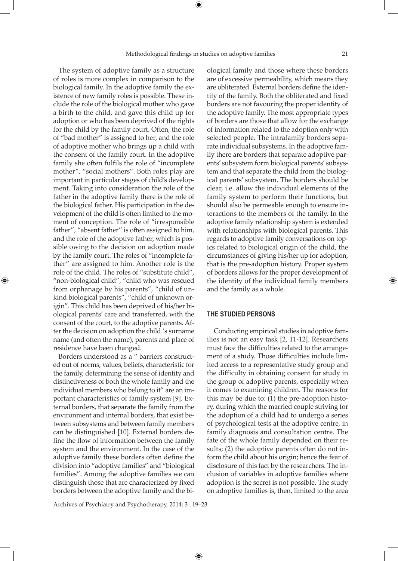The system of adoptive family as a structure of roles is more complex in comparison to the biological family. In the adoptive family the existence of new family roles is possible. These include the role of the biological mother who gave a birth to the child, and gave this child up for adoption or who has been deprived of the rights for the child by the family court. Often, the role of "bad mother" is assigned to her, and the role of adoptive mother who brings up a child with the consent of the family court. In the adoptive family she often fulfils the role of "incomplete mother", "social mothers". Both roles play are important in particular stages of child's development. Taking into consideration the role of the father in the adoptive family there is the role of the biological father. His participation in the development of the child is often limited to the moment of conception. The role of "irresponsible father", "absent father" is often assigned to him, and the role of the adoptive father, which is possible owing to the decision on adoption made by the family court. The roles of "incomplete father" are assigned to him. Another role is the role of the child. The roles of "substitute child", "non-biological child", "child who was rescued from orphanage by his parents", "child of unkind biological parents", "child of unknown origin". This child has been deprived of his/her biological parents' care and transferred, with the consent of the court, to the adoptive parents. After the decision on adoption the child 's surname name (and often the name), parents and place of residence have been changed.

⊕

Borders understood as a " barriers constructed out of norms, values, beliefs, characteristic for the family, determining the sense of identity and distinctiveness of both the whole family and the individual members who belong to it" are an important characteristics of family system [9]. External borders, that separate the family from the environment and internal borders, that exist between subsystems and between family members can be distinguished [10]. External borders define the flow of information between the family system and the environment. In the case of the adoptive family these borders often define the division into "adoptive families" and "biological families". Among the adoptive families we can distinguish those that are characterized by fixed borders between the adoptive family and the biological family and those where these borders are of excessive permeability, which means they are obliterated. External borders define the identity of the family. Both the obliterated and fixed borders are not favouring the proper identity of the adoptive family. The most appropriate types of borders are those that allow for the exchange of information related to the adoption only with selected people. The intrafamily borders separate individual subsystems. In the adoptive family there are borders that separate adoptive parents' subsystem form biological parents' subsystem and that separate the child from the biological parents' subsystem. The borders should be clear, i.e. allow the individual elements of the family system to perform their functions, but should also be permeable enough to ensure interactions to the members of the family. In the adoptive family relationship system is extended with relationships with biological parents. This regards to adoptive family conversations on topics related to biological origin of the child, the circumstances of giving his/her up for adoption, that is the pre-adoption history. Proper system of borders allows for the proper development of the identity of the individual family members and the family as a whole.

# **The studied persons**

 Conducting empirical studies in adoptive families is not an easy task [2, 11-12]. Researchers must face the difficulties related to the arrangement of a study. Those difficulties include limited access to a representative study group and the difficulty in obtaining consent for study in the group of adoptive parents, especially when it comes to examining children. The reasons for this may be due to: (1) the pre-adoption history, during which the married couple striving for the adoption of a child had to undergo a series of psychological tests at the adoptive centre, in family diagnosis and consultation centre. The fate of the whole family depended on their results; (2) the adoptive parents often do not inform the child about his origin; hence the fear of disclosure of this fact by the researchers. The inclusion of variables in adoptive families where adoption is the secret is not possible. The study on adoptive families is, then, limited to the area

Archives of Psychiatry and Psychotherapy, 2014; 3 : 19–23

 $\bigoplus$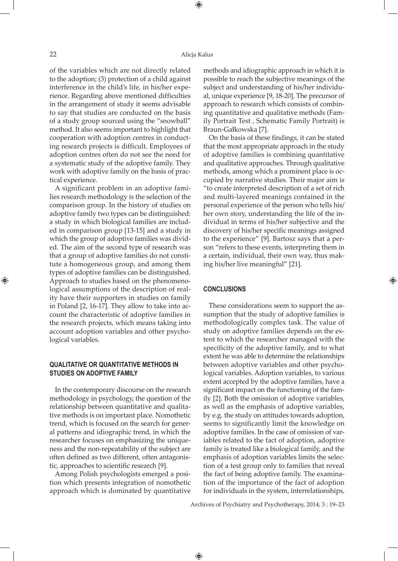⊕

of the variables which are not directly related to the adoption; (3) protection of a child against interference in the child's life, in his/her experience. Regarding above mentioned difficulties in the arrangement of study it seems advisable to say that studies are conducted on the basis of a study group sourced using the "snowball" method. It also seems important to highlight that cooperation with adoption centres in conducting research projects is difficult. Employees of adoption centres often do not see the need for a systematic study of the adoptive family. They work with adoptive family on the basis of practical experience.

A significant problem in an adoptive families research methodology is the selection of the comparison group. In the history of studies on adoptive family two types can be distinguished: a study in which biological families are included in comparison group [13-15] and a study in which the group of adoptive families was divided. The aim of the second type of research was that a group of adoptive families do not constitute a homogeneous group, and among them types of adoptive families can be distinguished. Approach to studies based on the phenomenological assumptions of the description of reality have their supporters in studies on family in Poland [2, 16-17]. They allow to take into account the characteristic of adoptive families in the research projects, which means taking into account adoption variables and other psychological variables.

# **Qualitative or quantitative methods in studies on adoptive family**

In the contemporary discourse on the research methodology in psychology, the question of the relationship between quantitative and qualitative methods is on important place. Nomothetic trend, which is focused on the search for general patterns and idiographic trend, in which the researcher focuses on emphasizing the uniqueness and the non-repeatability of the subject are often defined as two different, often antagonistic, approaches to scientific research [9].

Among Polish psychologists emerged a position which presents integration of nomothetic approach which is dominated by quantitative

methods and idiographic approach in which it is possible to reach the subjective meanings of the subject and understanding of his/her individual, unique experience [9, 18-20]. The precursor of approach to research which consists of combining quantitative and qualitative methods (Family Portrait Test , Schematic Family Portrait) is Braun-Gałkowska [7].

On the basis of these findings, it can be stated that the most appropriate approach in the study of adoptive families is combining quantitative and qualitative approaches. Through qualitative methods, among which a prominent place is occupied by narrative studies. Their major aim is "to create interpreted description of a set of rich and multi-layered meanings contained in the personal experience of the person who tells his/ her own story, understanding the life of the individual in terms of his/her subjective and the discovery of his/her specific meanings assigned to the experience" [9]. Bartosz says that a person "refers to these events, interpreting them in a certain, individual, their own way, thus making his/her live meaningful" [21].

⊕

#### **Conclusions**

These considerations seem to support the assumption that the study of adoptive families is methodologically complex task. The value of study on adoptive families depends on the extent to which the researcher managed with the specificity of the adoptive family, and to what extent he was able to determine the relationships between adoptive variables and other psychological variables. Adoption variables, to various extent accepted by the adoptive families, have a significant impact on the functioning of the family [2]. Both the omission of adoptive variables, as well as the emphasis of adoptive variables, by e.g. the study on attitudes towards adoption, seems to significantly limit the knowledge on adoptive families. In the case of omission of variables related to the fact of adoption, adoptive family is treated like a biological family, and the emphasis of adoption variables limits the selection of a test group only to families that reveal the fact of being adoptive family. The examination of the importance of the fact of adoption for individuals in the system, interrelationships,

Archives of Psychiatry and Psychotherapy, 2014; 3 : 19–23

 $\bigoplus$ 

⊕